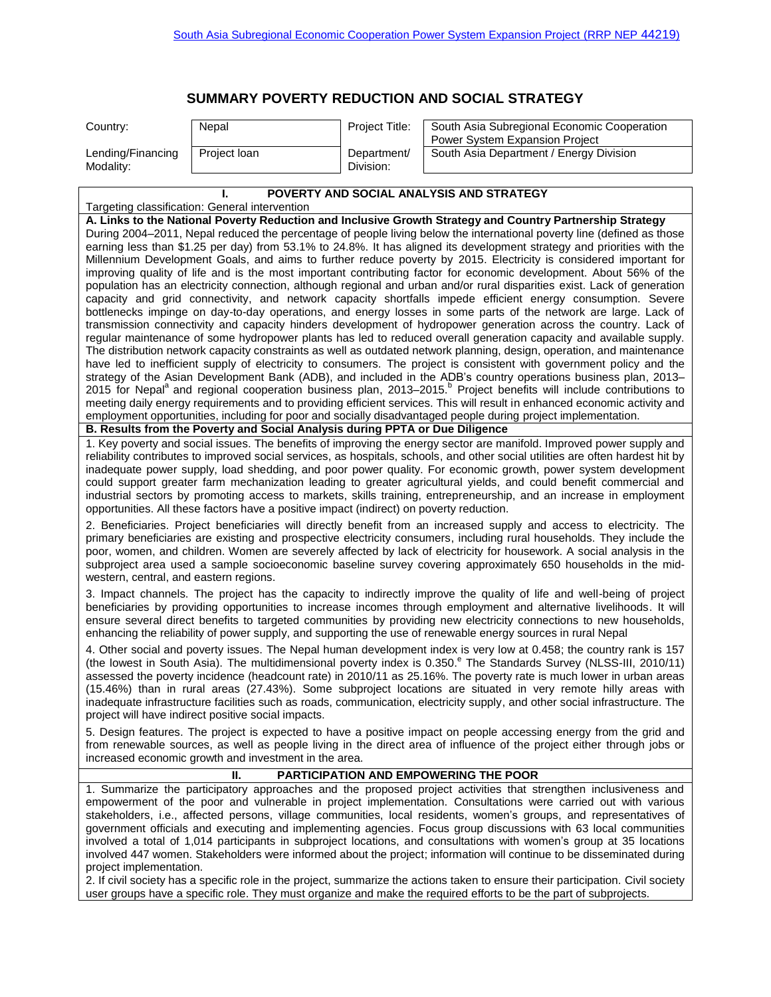## **SUMMARY POVERTY REDUCTION AND SOCIAL STRATEGY**

| Country:                       | Nepal        | <b>Project Title:</b>    | South Asia Subregional Economic Cooperation<br><b>Power System Expansion Project</b> |
|--------------------------------|--------------|--------------------------|--------------------------------------------------------------------------------------|
| Lending/Financing<br>Modality: | Project loan | Department/<br>Division: | South Asia Department / Energy Division                                              |

## **I. POVERTY AND SOCIAL ANALYSIS AND STRATEGY**

## Targeting classification: General intervention

**A. Links to the National Poverty Reduction and Inclusive Growth Strategy and Country Partnership Strategy**  During 2004–2011, Nepal reduced the percentage of people living below the international poverty line (defined as those earning less than \$1.25 per day) from 53.1% to 24.8%. It has aligned its development strategy and priorities with the Millennium Development Goals, and aims to further reduce poverty by 2015. Electricity is considered important for improving quality of life and is the most important contributing factor for economic development. About 56% of the population has an electricity connection, although regional and urban and/or rural disparities exist. Lack of generation capacity and grid connectivity, and network capacity shortfalls impede efficient energy consumption. Severe bottlenecks impinge on day-to-day operations, and energy losses in some parts of the network are large. Lack of transmission connectivity and capacity hinders development of hydropower generation across the country. Lack of regular maintenance of some hydropower plants has led to reduced overall generation capacity and available supply. The distribution network capacity constraints as well as outdated network planning, design, operation, and maintenance have led to inefficient supply of electricity to consumers. The project is consistent with government policy and the strategy of the Asian Development Bank (ADB), and included in the ADB's country operations business plan, 2013– 2015 for Nepal<sup>a</sup> and regional cooperation business plan, 2013–2015.<sup>b</sup> Project benefits will include contributions to meeting daily energy requirements and to providing efficient services. This will result in enhanced economic activity and employment opportunities, including for poor and socially disadvantaged people during project implementation.

**B. Results from the Poverty and Social Analysis during PPTA or Due Diligence** 

1. Key poverty and social issues. The benefits of improving the energy sector are manifold. Improved power supply and reliability contributes to improved social services, as hospitals, schools, and other social utilities are often hardest hit by inadequate power supply, load shedding, and poor power quality. For economic growth, power system development could support greater farm mechanization leading to greater agricultural yields, and could benefit commercial and industrial sectors by promoting access to markets, skills training, entrepreneurship, and an increase in employment opportunities. All these factors have a positive impact (indirect) on poverty reduction.

2. Beneficiaries. Project beneficiaries will directly benefit from an increased supply and access to electricity. The primary beneficiaries are existing and prospective electricity consumers, including rural households. They include the poor, women, and children. Women are severely affected by lack of electricity for housework. A social analysis in the subproject area used a sample socioeconomic baseline survey covering approximately 650 households in the midwestern, central, and eastern regions.

3. Impact channels. The project has the capacity to indirectly improve the quality of life and well-being of project beneficiaries by providing opportunities to increase incomes through employment and alternative livelihoods. It will ensure several direct benefits to targeted communities by providing new electricity connections to new households, enhancing the reliability of power supply, and supporting the use of renewable energy sources in rural Nepal

4. Other social and poverty issues. The Nepal human development index is very low at 0.458; the country rank is 157 (the lowest in South Asia). The multidimensional poverty index is 0.350.<sup>e</sup> The Standards Survey (NLSS-III, 2010/11) assessed the poverty incidence (headcount rate) in 2010/11 as 25.16%. The poverty rate is much lower in urban areas (15.46%) than in rural areas (27.43%). Some subproject locations are situated in very remote hilly areas with inadequate infrastructure facilities such as roads, communication, electricity supply, and other social infrastructure. The project will have indirect positive social impacts.

5. Design features. The project is expected to have a positive impact on people accessing energy from the grid and from renewable sources, as well as people living in the direct area of influence of the project either through jobs or increased economic growth and investment in the area.

## **II. PARTICIPATION AND EMPOWERING THE POOR**

1. Summarize the participatory approaches and the proposed project activities that strengthen inclusiveness and empowerment of the poor and vulnerable in project implementation. Consultations were carried out with various stakeholders, i.e., affected persons, village communities, local residents, women's groups, and representatives of government officials and executing and implementing agencies. Focus group discussions with 63 local communities involved a total of 1,014 participants in subproject locations, and consultations with women's group at 35 locations involved 447 women. Stakeholders were informed about the project; information will continue to be disseminated during project implementation.

2. If civil society has a specific role in the project, summarize the actions taken to ensure their participation. Civil society user groups have a specific role. They must organize and make the required efforts to be the part of subprojects.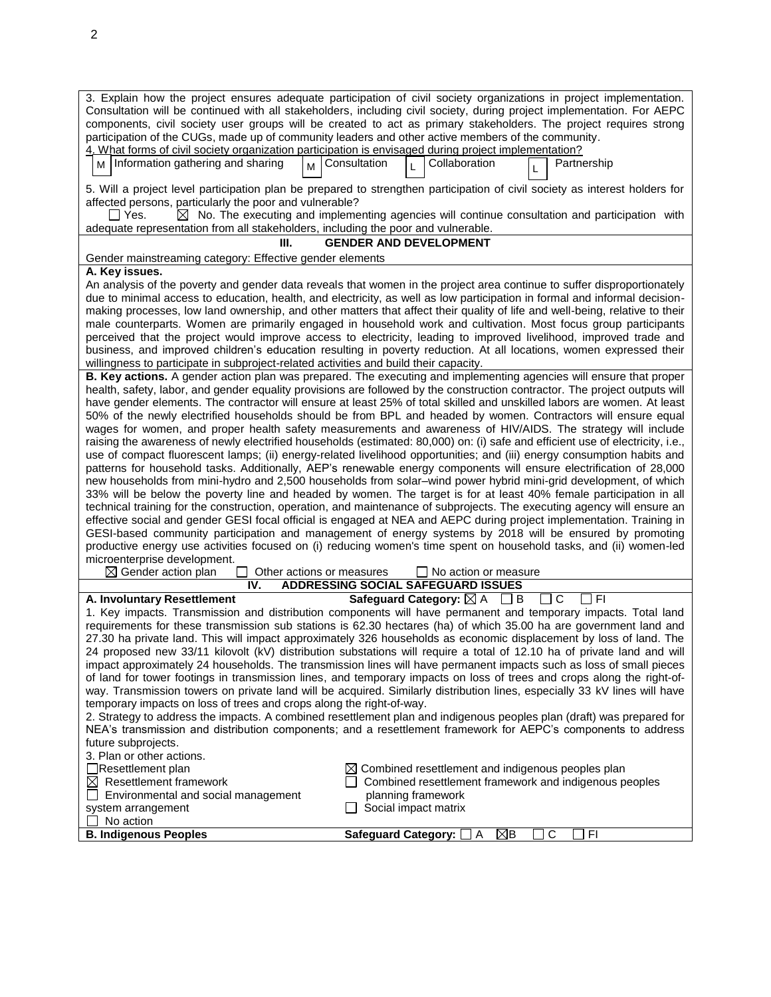| 3. Explain how the project ensures adequate participation of civil society organizations in project implementation.<br>Consultation will be continued with all stakeholders, including civil society, during project implementation. For AEPC<br>components, civil society user groups will be created to act as primary stakeholders. The project requires strong<br>participation of the CUGs, made up of community leaders and other active members of the community.<br>4. What forms of civil society organization participation is envisaged during project implementation? |  |  |  |  |  |
|-----------------------------------------------------------------------------------------------------------------------------------------------------------------------------------------------------------------------------------------------------------------------------------------------------------------------------------------------------------------------------------------------------------------------------------------------------------------------------------------------------------------------------------------------------------------------------------|--|--|--|--|--|
| M   Information gathering and sharing<br>Collaboration<br>Consultation<br>Partnership<br>мI<br>L                                                                                                                                                                                                                                                                                                                                                                                                                                                                                  |  |  |  |  |  |
| 5. Will a project level participation plan be prepared to strengthen participation of civil society as interest holders for                                                                                                                                                                                                                                                                                                                                                                                                                                                       |  |  |  |  |  |
| affected persons, particularly the poor and vulnerable?                                                                                                                                                                                                                                                                                                                                                                                                                                                                                                                           |  |  |  |  |  |
| $\boxtimes$ No. The executing and implementing agencies will continue consultation and participation with<br>l IYes.                                                                                                                                                                                                                                                                                                                                                                                                                                                              |  |  |  |  |  |
| adequate representation from all stakeholders, including the poor and vulnerable.                                                                                                                                                                                                                                                                                                                                                                                                                                                                                                 |  |  |  |  |  |
| <b>GENDER AND DEVELOPMENT</b><br>Ш.                                                                                                                                                                                                                                                                                                                                                                                                                                                                                                                                               |  |  |  |  |  |
| Gender mainstreaming category: Effective gender elements                                                                                                                                                                                                                                                                                                                                                                                                                                                                                                                          |  |  |  |  |  |
| A. Key issues.                                                                                                                                                                                                                                                                                                                                                                                                                                                                                                                                                                    |  |  |  |  |  |
| An analysis of the poverty and gender data reveals that women in the project area continue to suffer disproportionately                                                                                                                                                                                                                                                                                                                                                                                                                                                           |  |  |  |  |  |
| due to minimal access to education, health, and electricity, as well as low participation in formal and informal decision-                                                                                                                                                                                                                                                                                                                                                                                                                                                        |  |  |  |  |  |
| making processes, low land ownership, and other matters that affect their quality of life and well-being, relative to their                                                                                                                                                                                                                                                                                                                                                                                                                                                       |  |  |  |  |  |
| male counterparts. Women are primarily engaged in household work and cultivation. Most focus group participants                                                                                                                                                                                                                                                                                                                                                                                                                                                                   |  |  |  |  |  |
| perceived that the project would improve access to electricity, leading to improved livelihood, improved trade and                                                                                                                                                                                                                                                                                                                                                                                                                                                                |  |  |  |  |  |
| business, and improved children's education resulting in poverty reduction. At all locations, women expressed their                                                                                                                                                                                                                                                                                                                                                                                                                                                               |  |  |  |  |  |
| willingness to participate in subproject-related activities and build their capacity.<br>B. Key actions. A gender action plan was prepared. The executing and implementing agencies will ensure that proper                                                                                                                                                                                                                                                                                                                                                                       |  |  |  |  |  |
| health, safety, labor, and gender equality provisions are followed by the construction contractor. The project outputs will                                                                                                                                                                                                                                                                                                                                                                                                                                                       |  |  |  |  |  |
| have gender elements. The contractor will ensure at least 25% of total skilled and unskilled labors are women. At least                                                                                                                                                                                                                                                                                                                                                                                                                                                           |  |  |  |  |  |
| 50% of the newly electrified households should be from BPL and headed by women. Contractors will ensure equal                                                                                                                                                                                                                                                                                                                                                                                                                                                                     |  |  |  |  |  |
| wages for women, and proper health safety measurements and awareness of HIV/AIDS. The strategy will include                                                                                                                                                                                                                                                                                                                                                                                                                                                                       |  |  |  |  |  |
| raising the awareness of newly electrified households (estimated: 80,000) on: (i) safe and efficient use of electricity, i.e.,                                                                                                                                                                                                                                                                                                                                                                                                                                                    |  |  |  |  |  |
| use of compact fluorescent lamps; (ii) energy-related livelihood opportunities; and (iii) energy consumption habits and                                                                                                                                                                                                                                                                                                                                                                                                                                                           |  |  |  |  |  |
| patterns for household tasks. Additionally, AEP's renewable energy components will ensure electrification of 28,000                                                                                                                                                                                                                                                                                                                                                                                                                                                               |  |  |  |  |  |
| new households from mini-hydro and 2,500 households from solar-wind power hybrid mini-grid development, of which                                                                                                                                                                                                                                                                                                                                                                                                                                                                  |  |  |  |  |  |
| 33% will be below the poverty line and headed by women. The target is for at least 40% female participation in all                                                                                                                                                                                                                                                                                                                                                                                                                                                                |  |  |  |  |  |
| technical training for the construction, operation, and maintenance of subprojects. The executing agency will ensure an                                                                                                                                                                                                                                                                                                                                                                                                                                                           |  |  |  |  |  |
| effective social and gender GESI focal official is engaged at NEA and AEPC during project implementation. Training in                                                                                                                                                                                                                                                                                                                                                                                                                                                             |  |  |  |  |  |
| GESI-based community participation and management of energy systems by 2018 will be ensured by promoting                                                                                                                                                                                                                                                                                                                                                                                                                                                                          |  |  |  |  |  |
| productive energy use activities focused on (i) reducing women's time spent on household tasks, and (ii) women-led                                                                                                                                                                                                                                                                                                                                                                                                                                                                |  |  |  |  |  |
| microenterprise development.                                                                                                                                                                                                                                                                                                                                                                                                                                                                                                                                                      |  |  |  |  |  |
| $\boxtimes$ Gender action plan<br>Other actions or measures<br>No action or measure                                                                                                                                                                                                                                                                                                                                                                                                                                                                                               |  |  |  |  |  |
| <b>ADDRESSING SOCIAL SAFEGUARD ISSUES</b><br>IV.<br>$\Box$ C<br>T FI                                                                                                                                                                                                                                                                                                                                                                                                                                                                                                              |  |  |  |  |  |
| Safeguard Category: $\boxtimes$ A $\Box$ B<br>A. Involuntary Resettlement<br>1. Key impacts. Transmission and distribution components will have permanent and temporary impacts. Total land                                                                                                                                                                                                                                                                                                                                                                                       |  |  |  |  |  |
|                                                                                                                                                                                                                                                                                                                                                                                                                                                                                                                                                                                   |  |  |  |  |  |
| requirements for these transmission sub stations is 62.30 hectares (ha) of which 35.00 ha are government land and<br>27.30 ha private land. This will impact approximately 326 households as economic displacement by loss of land. The                                                                                                                                                                                                                                                                                                                                           |  |  |  |  |  |
| 24 proposed new 33/11 kilovolt (kV) distribution substations will require a total of 12.10 ha of private land and will                                                                                                                                                                                                                                                                                                                                                                                                                                                            |  |  |  |  |  |
| impact approximately 24 households. The transmission lines will have permanent impacts such as loss of small pieces                                                                                                                                                                                                                                                                                                                                                                                                                                                               |  |  |  |  |  |
| of land for tower footings in transmission lines, and temporary impacts on loss of trees and crops along the right-of-                                                                                                                                                                                                                                                                                                                                                                                                                                                            |  |  |  |  |  |
| way. Transmission towers on private land will be acquired. Similarly distribution lines, especially 33 kV lines will have                                                                                                                                                                                                                                                                                                                                                                                                                                                         |  |  |  |  |  |
| temporary impacts on loss of trees and crops along the right-of-way.                                                                                                                                                                                                                                                                                                                                                                                                                                                                                                              |  |  |  |  |  |
| 2. Strategy to address the impacts. A combined resettlement plan and indigenous peoples plan (draft) was prepared for                                                                                                                                                                                                                                                                                                                                                                                                                                                             |  |  |  |  |  |
| NEA's transmission and distribution components; and a resettlement framework for AEPC's components to address                                                                                                                                                                                                                                                                                                                                                                                                                                                                     |  |  |  |  |  |
| future subprojects.                                                                                                                                                                                                                                                                                                                                                                                                                                                                                                                                                               |  |  |  |  |  |
| 3. Plan or other actions.                                                                                                                                                                                                                                                                                                                                                                                                                                                                                                                                                         |  |  |  |  |  |
| Resettlement plan<br>$\boxtimes$ Combined resettlement and indigenous peoples plan                                                                                                                                                                                                                                                                                                                                                                                                                                                                                                |  |  |  |  |  |
| Combined resettlement framework and indigenous peoples<br>$\boxtimes$ Resettlement framework                                                                                                                                                                                                                                                                                                                                                                                                                                                                                      |  |  |  |  |  |
| planning framework<br>Environmental and social management                                                                                                                                                                                                                                                                                                                                                                                                                                                                                                                         |  |  |  |  |  |
| Social impact matrix<br>system arrangement                                                                                                                                                                                                                                                                                                                                                                                                                                                                                                                                        |  |  |  |  |  |
| No action                                                                                                                                                                                                                                                                                                                                                                                                                                                                                                                                                                         |  |  |  |  |  |
| <b>B. Indigenous Peoples</b><br>Safeguard Category: □ A<br>⊠B<br>C<br>-FI                                                                                                                                                                                                                                                                                                                                                                                                                                                                                                         |  |  |  |  |  |